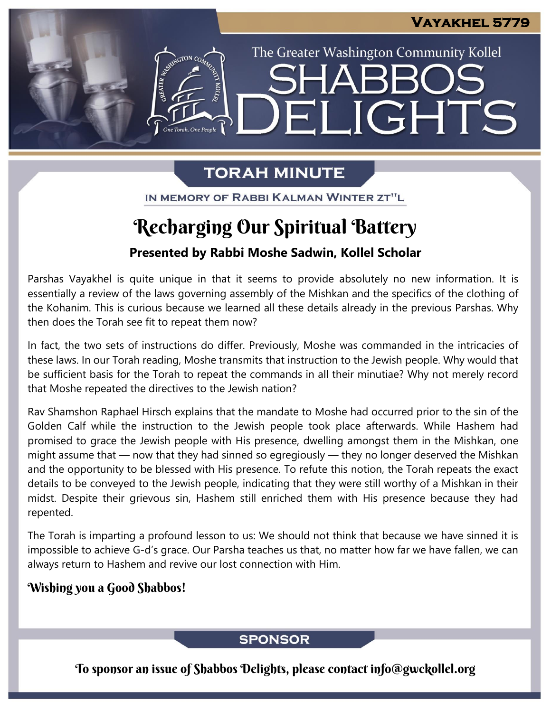The Greater Washington Community Kollel

ELIGHTS

# **TORAH MINUTE**

IN MEMORY OF RABBI KALMAN WINTER ZT"L

# Recharging Our Spiritual Battery

### **Presented by Rabbi Moshe Sadwin, Kollel Scholar**

Parshas Vayakhel is quite unique in that it seems to provide absolutely no new information. It is essentially a review of the laws governing assembly of the Mishkan and the specifics of the clothing of the Kohanim. This is curious because we learned all these details already in the previous Parshas. Why then does the Torah see fit to repeat them now?

In fact, the two sets of instructions do differ. Previously, Moshe was commanded in the intricacies of these laws. In our Torah reading, Moshe transmits that instruction to the Jewish people. Why would that be sufficient basis for the Torah to repeat the commands in all their minutiae? Why not merely record that Moshe repeated the directives to the Jewish nation?

Rav Shamshon Raphael Hirsch explains that the mandate to Moshe had occurred prior to the sin of the Golden Calf while the instruction to the Jewish people took place afterwards. While Hashem had promised to grace the Jewish people with His presence, dwelling amongst them in the Mishkan, one might assume that — now that they had sinned so egregiously — they no longer deserved the Mishkan and the opportunity to be blessed with His presence. To refute this notion, the Torah repeats the exact details to be conveyed to the Jewish people, indicating that they were still worthy of a Mishkan in their midst. Despite their grievous sin, Hashem still enriched them with His presence because they had repented.

The Torah is imparting a profound lesson to us: We should not think that because we have sinned it is impossible to achieve G-d's grace. Our Parsha teaches us that, no matter how far we have fallen, we can always return to Hashem and revive our lost connection with Him.

### Wishing you a Good Shabbos!

### **SPONSOR**

To sponsor an issue of Shabbos Delights, please contact info@gwckollel.org